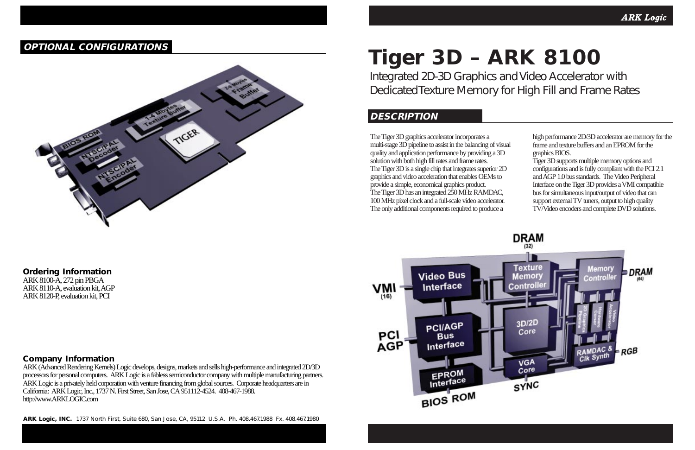Integrated 2D-3D Graphics and Video Accelerator with Dedicated Texture Memory for High Fill and Frame Rates

The Tiger 3D graphics accelerator incorporates a multi-stage 3D pipeline to assist in the balancing of visual quality and application performance by providing a 3D solution with both high fill rates and frame rates. The Tiger 3D is a single chip that integrates superior 2D graphics and video acceleration that enables OEMs to provide a simple, economical graphics product. The Tiger 3D has an integrated 250 MHz RAMDAC, 100 MHz pixel clock and a full-scale video accelerator. The only additional components required to produce a



ARK 8100-A,272 pin PBGA ARK 8110-A, evaluation kit, AGP ARK 8120-P, evaluation kit, PCI

# **Tiger 3D – ARK 8100**

high performance 2D/3D accelerator are memory for the frame and texture buffers and an EPROM for the graphics BIOS.

ARK (Advanced Rendering Kernels) Logic develops, designs, markets and sells high-performance and integrated 2D/3D processors for personal computers. ARK Logic is a fabless semiconductor company with multiple manufacturing partners. ARK Logic is a privately held corporation with venture financing from global sources. Corporate headquarters are in California: ARK Logic,Inc.,1737 N. First Street,San Jose,CA 951112-4524. 408-467-1988. http://www.ARKLOGIC.com

Tiger 3D supports multiple memory options and configurations and is fully compliant with the PCI 2.1 and AGP 1.0 bus standards. The Video Peripheral Interface on the Tiger 3D provides a VMI compatible bus for simultaneous input/output of video that can support external TV tuners, output to high quality TV/Video encoders and complete DVD solutions.

## **DESCRIPTION**

**ARK Logic, INC.** 1737 North First, Suite 680, San Jose, CA, 95112 U.S.A. Ph. 408.467.1988 Fx. 408.467.1980

# **Ordering Information**

## **Company Information**

# **OPTIONAL CONFIGURATIONS**